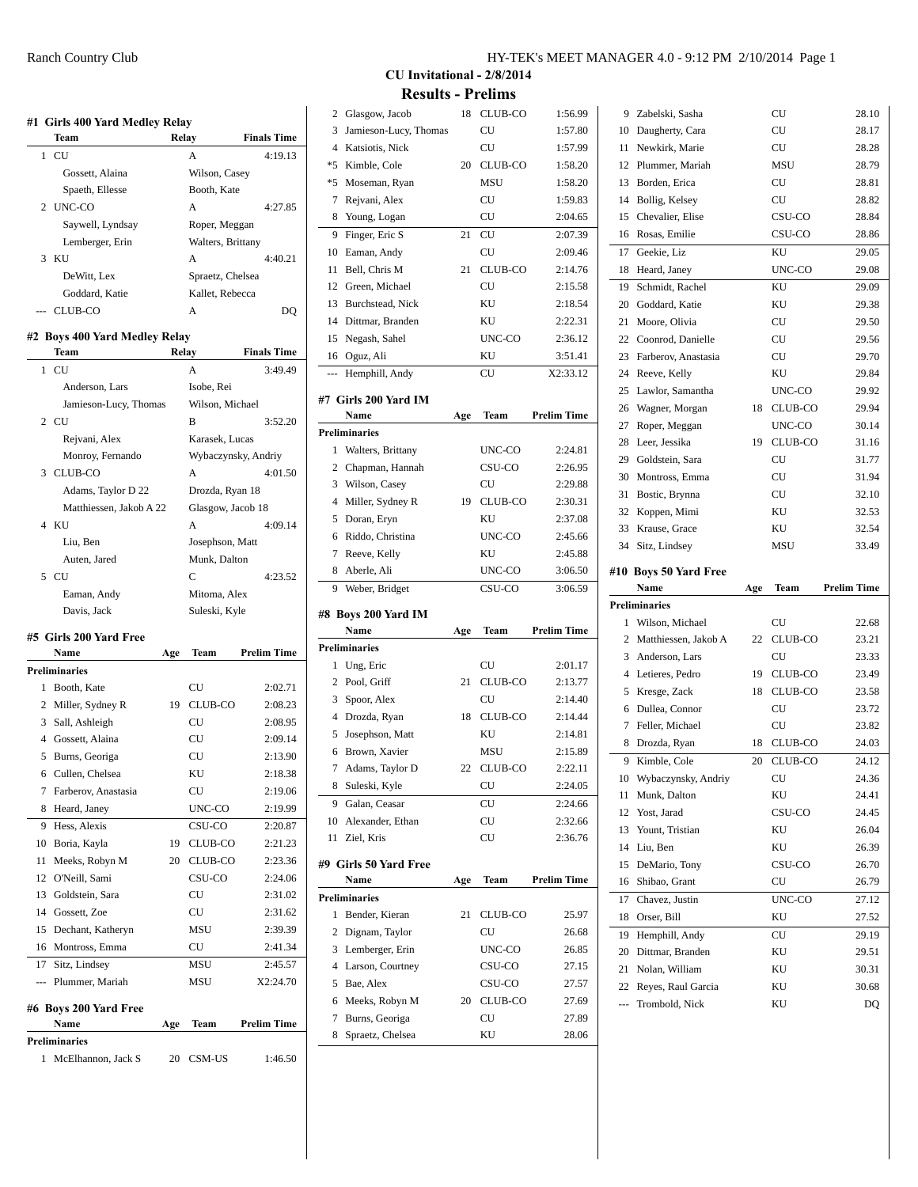|                | #1 Girls 400 Yard Medley Relay<br>Team |       | Relay               | <b>Finals Time</b> |
|----------------|----------------------------------------|-------|---------------------|--------------------|
| 1              | CU                                     |       | А                   | 4:19.13            |
|                | Gossett, Alaina                        |       | Wilson, Casey       |                    |
|                | Spaeth, Ellesse                        |       | Booth, Kate         |                    |
| 2              | UNC-CO                                 |       | Α                   | 4:27.85            |
|                | Saywell, Lyndsay                       |       | Roper, Meggan       |                    |
|                | Lemberger, Erin                        |       | Walters, Brittany   |                    |
| 3              | KU                                     |       | A                   | 4:40.21            |
|                | DeWitt, Lex                            |       | Spraetz, Chelsea    |                    |
|                | Goddard, Katie                         |       | Kallet, Rebecca     |                    |
| $\overline{a}$ | CLUB-CO                                |       | А                   | DQ                 |
|                | #2 Boys 400 Yard Medley Relay          |       |                     |                    |
|                | Team                                   | Relay |                     | <b>Finals Time</b> |
| 1              | CU                                     |       | A                   | 3:49.49            |
|                | Anderson, Lars                         |       | Isobe, Rei          |                    |
|                | Jamieson-Lucy, Thomas                  |       | Wilson, Michael     |                    |
|                | 2 CU                                   |       | B                   | 3:52.20            |
|                | Rejvani, Alex                          |       | Karasek, Lucas      |                    |
|                | Monroy, Fernando                       |       | Wybaczynsky, Andriy |                    |
| 3              | CLUB-CO                                |       | Α                   | 4:01.50            |
|                | Adams, Taylor D 22                     |       | Drozda, Ryan 18     |                    |
|                | Matthiessen, Jakob A 22                |       | Glasgow, Jacob 18   |                    |
| 4              | ΚU                                     |       | A                   | 4:09.14            |
|                | Liu, Ben                               |       | Josephson, Matt     |                    |
|                | Auten, Jared                           |       | Munk, Dalton        |                    |
| 5              | CU                                     |       | Ċ                   | 4:23.52            |
|                | Eaman, Andy                            |       | Mitoma, Alex        |                    |
|                | Davis, Jack                            |       | Suleski, Kyle       |                    |
|                | #5 Girls 200 Yard Free                 |       |                     |                    |
|                | Name                                   | Age   | Team                | <b>Prelim Time</b> |
|                | <b>Preliminaries</b>                   |       |                     |                    |
| 1              | Booth, Kate                            |       | CU                  | 2:02.71            |
|                | 2 Miller, Sydney R                     | 19    | CLUB-CO             | 2:08.23            |
| 3              | Sall, Ashleigh                         |       | CU                  | 2:08.95            |
| 4              | Gossett, Alaina                        |       | CU                  | 2:09.14            |
|                | 5 Burns, Georiga                       |       | CU                  | 2:13.90            |
|                | 6 Cullen, Chelsea                      |       | KU                  | 2:18.38            |
| 7              | Farberov, Anastasia                    |       | CU                  | 2:19.06            |
| 8              | Heard, Janey                           |       | UNC-CO              | 2:19.99            |
| 9              | Hess, Alexis                           |       | CSU-CO              | 2:20.87            |
| 10             | Boria, Kayla                           | 19    | CLUB-CO             | 2:21.23            |
| 11             | Meeks, Robyn M                         | 20    | CLUB-CO             | 2:23.36            |
| 12             | O'Neill, Sami                          |       | CSU-CO              | 2:24.06            |
| 13             | Goldstein, Sara                        |       | CU                  | 2:31.02            |
| 14             | Gossett, Zoe                           |       | CU                  | 2:31.62            |
| 15             | Dechant, Katheryn                      |       | <b>MSU</b>          | 2:39.39            |
| 16             | Montross, Emma                         |       | CU                  | 2:41.34            |
| 17             | Sitz, Lindsey                          |       | MSU                 | 2:45.57            |
| ---            | Plummer, Mariah                        |       | MSU                 | X2:24.70           |
|                |                                        |       |                     |                    |
|                | #6 Boys 200 Yard Free                  |       |                     |                    |
|                | Name                                   | Age   | Team                | <b>Prelim Time</b> |

1 McElhannon, Jack S 20 CSM-US 1:46.50

**Preliminaries**

| HY-TEK's MEET MANAGER 4.0 - 9:12 PM 2/10/2014 Page 1 |  |  |
|------------------------------------------------------|--|--|
|------------------------------------------------------|--|--|

 $\mathbf{r}$ 

**CU Invitational - 2/8/2014 Results - Prelims**

|                  | Glasgow, Jacob        | 18  | CLUB-CO    | 1:56.99            |
|------------------|-----------------------|-----|------------|--------------------|
| 3                | Jamieson-Lucy, Thomas |     | CU         | 1:57.80            |
| 4                | Katsiotis, Nick       |     | CU         | 1:57.99            |
| *5               | Kimble, Cole          | 20  | CLUB-CO    | 1:58.20            |
| *5               | Moseman, Ryan         |     | <b>MSU</b> | 1:58.20            |
| 7                | Rejvani, Alex         |     | CU         | 1:59.83            |
| 8                | Young, Logan          |     | CU         | 2:04.65            |
| 9                | Finger, Eric S        | 21  | CU         | 2:07.39            |
| 10               | Eaman, Andy           |     | CU         | 2:09.46            |
| 11               | Bell, Chris M         | 21  | CLUB-CO    | 2:14.76            |
| 12 <sup>12</sup> | Green. Michael        |     | CU         | 2:15.58            |
| 13               | Burchstead, Nick      |     | KU         | 2:18.54            |
| 14               | Dittmar, Branden      |     | KU         | 2:22.31            |
| 15               | Negash, Sahel         |     | UNC-CO     | 2:36.12            |
| 16               | Oguz, Ali             |     | ΚU         | 3:51.41            |
| $\overline{a}$   | Hemphill, Andy        |     | CU         | X2:33.12           |
|                  |                       |     |            |                    |
|                  | #7 Girls 200 Yard IM  |     |            |                    |
|                  | Name                  | Age | Team       | <b>Prelim Time</b> |
|                  | <b>Preliminaries</b>  |     |            |                    |
| 1                | Walters, Brittany     |     | UNC-CO     | 2:24.81            |
| 2                | Chapman, Hannah       |     | CSU-CO     | 2:26.95            |
| 3                | Wilson, Casey         |     | CU         | 2:29.88            |
| 4                | Miller, Sydney R      | 19  | CLUB-CO    | 2:30.31            |
| 5                | Doran, Eryn           |     | KU         | 2:37.08            |
| 6                | Riddo, Christina      |     | UNC-CO     | 2:45.66            |
| 7                | Reeve, Kelly          |     | KU         | 2:45.88            |
| 8                | Aberle, Ali           |     | UNC-CO     | 3:06.50            |
|                  |                       |     |            |                    |
| 9                | Weber, Bridget        |     | CSU-CO     | 3:06.59            |
|                  |                       |     |            |                    |
|                  | #8 Boys 200 Yard IM   |     |            |                    |
|                  | Name                  | Age | Team       | <b>Prelim Time</b> |
|                  | <b>Preliminaries</b>  |     |            |                    |
| 1                | Ung, Eric             |     | CU         | 2:01.17            |
| 2                | Pool, Griff           | 21  | CLUB-CO    | 2:13.77            |
| 3                | Spoor, Alex           |     | CU         | 2:14.40            |
| 4                | Drozda, Ryan          | 18  | CLUB-CO    | 2:14.44            |
| 5                | Josephson, Matt       |     | KU         | 2:14.81            |
| 6                | Brown, Xavier         |     | <b>MSU</b> | 2:15.89            |
| 7                | Adams, Taylor D       | 22  | CLUB-CO    | 2:22.11            |
| 8                | Suleski, Kyle         |     | CU         | 2:24.05            |
| 9                | Galan, Ceasar         |     | CU         | 2:24.66            |
| 10               | Alexander, Ethan      |     | CU         | 2:32.66            |
| 11               | Ziel, Kris            |     | CU         | 2:36.76            |
|                  | #9 Girls 50 Yard Free |     |            |                    |
|                  | Name                  | Age | Team       | <b>Prelim Time</b> |
|                  | <b>Preliminaries</b>  |     |            |                    |
| 1                | Bender, Kieran        | 21  | CLUB-CO    | 25.97              |
| 2                | Dignam, Taylor        |     | CU         | 26.68              |
| 3                | Lemberger, Erin       |     | UNC-CO     | 26.85              |
| 4                | Larson, Courtney      |     | CSU-CO     | 27.15              |
| 5                | Bae, Alex             |     | CSU-CO     | 27.57              |
| 6                | Meeks, Robyn M        | 20  | CLUB-CO    | 27.69              |
| 7                | Burns, Georiga        |     | CU         | 27.89              |
| 8                | Spraetz, Chelsea      |     | KU         | 28.06              |

| 9              | Zabelski, Sasha        |     | CU         | 28.10              |
|----------------|------------------------|-----|------------|--------------------|
| 10             | Daugherty, Cara        |     | CU         | 28.17              |
| 11             | Newkirk, Marie         |     | CU         | 28.28              |
| 12             | Plummer, Mariah        |     | <b>MSU</b> | 28.79              |
| 13             | Borden, Erica          |     | CU         | 28.81              |
| 14             | Bollig, Kelsey         |     | CU         | 28.82              |
| 15             | Chevalier, Elise       |     | CSU-CO     | 28.84              |
| 16             | Rosas, Emilie          |     | CSU-CO     | 28.86              |
| 17             | Geekie, Liz            |     | KU         | 29.05              |
| 18             | Heard, Janey           |     | UNC-CO     | 29.08              |
| 19             | Schmidt, Rachel        |     | KU         | 29.09              |
| 20             | Goddard, Katie         |     | KU         | 29.38              |
| 21             | Moore, Olivia          |     | CU         | 29.50              |
| 22             | Coonrod, Danielle      |     | CU         | 29.56              |
| 23             | Farberov, Anastasia    |     | CU         | 29.70              |
| 24             | Reeve, Kelly           |     | KU         | 29.84              |
| 25             | Lawlor, Samantha       |     | UNC-CO     | 29.92              |
| 26             | Wagner, Morgan         | 18  | CLUB-CO    | 29.94              |
| 27             | Roper, Meggan          |     | UNC-CO     | 30.14              |
| 28             | Leer, Jessika          | 19  | CLUB-CO    | 31.16              |
| 29             | Goldstein, Sara        |     | CU         | 31.77              |
| 30             | Montross, Emma         |     | CU         | 31.94              |
| 31             | Bostic, Brynna         |     | CU         | 32.10              |
| 32             | Koppen, Mimi           |     | KU         | 32.53              |
| 33             | Krause, Grace          |     | KU         | 32.54              |
| 34             |                        |     | MSU        | 33.49              |
|                | Sitz, Lindsey          |     |            |                    |
|                |                        |     |            |                    |
|                | #10 Boys 50 Yard Free  |     |            |                    |
|                | Name                   | Age | Team       | <b>Prelim Time</b> |
|                | <b>Preliminaries</b>   |     |            |                    |
| 1              | Wilson, Michael        |     | CU         | 22.68              |
| $\overline{2}$ | Matthiessen, Jakob A   | 22  | CLUB-CO    | 23.21              |
| 3              | Anderson, Lars         |     | CU         | 23.33              |
| 4              | Letieres, Pedro        | 19  | CLUB-CO    | 23.49              |
| 5              | Kresge, Zack           | 18  | CLUB-CO    | 23.58              |
| 6              | Dullea, Connor         |     | CU         | 23.72              |
| $\overline{7}$ | Feller, Michael        |     | CU         | 23.82              |
| 8              | Drozda, Ryan           | 18  | CLUB-CO    | 24.03              |
| 9              | Kimble, Cole           | 20  | CLUB-CO    | 24.12              |
|                | 10 Wybaczynsky, Andriy |     | CU         | 24.36              |
| 11             | Munk, Dalton           |     | KU         | 24.41              |
| 12             | Yost, Jarad            |     | CSU-CO     | 24.45              |
| 13             | Yount, Tristian        |     | ΚU         | 26.04              |
| 14             | Liu, Ben               |     | KU         | 26.39              |
| 15             | DeMario, Tony          |     | CSU-CO     | 26.70              |
| 16             | Shibao, Grant          |     | CU         | 26.79              |
| 17             | Chavez, Justin         |     | UNC-CO     | 27.12              |
| 18             | Orser, Bill            |     | ΚU         | 27.52              |
| 19             | Hemphill, Andy         |     | CU         | 29.19              |
| 20             | Dittmar, Branden       |     | KU         | 29.51              |
| 21             | Nolan, William         |     | KU         | 30.31              |
| 22             | Reyes, Raul Garcia     |     | ΚU         | 30.68              |

ú.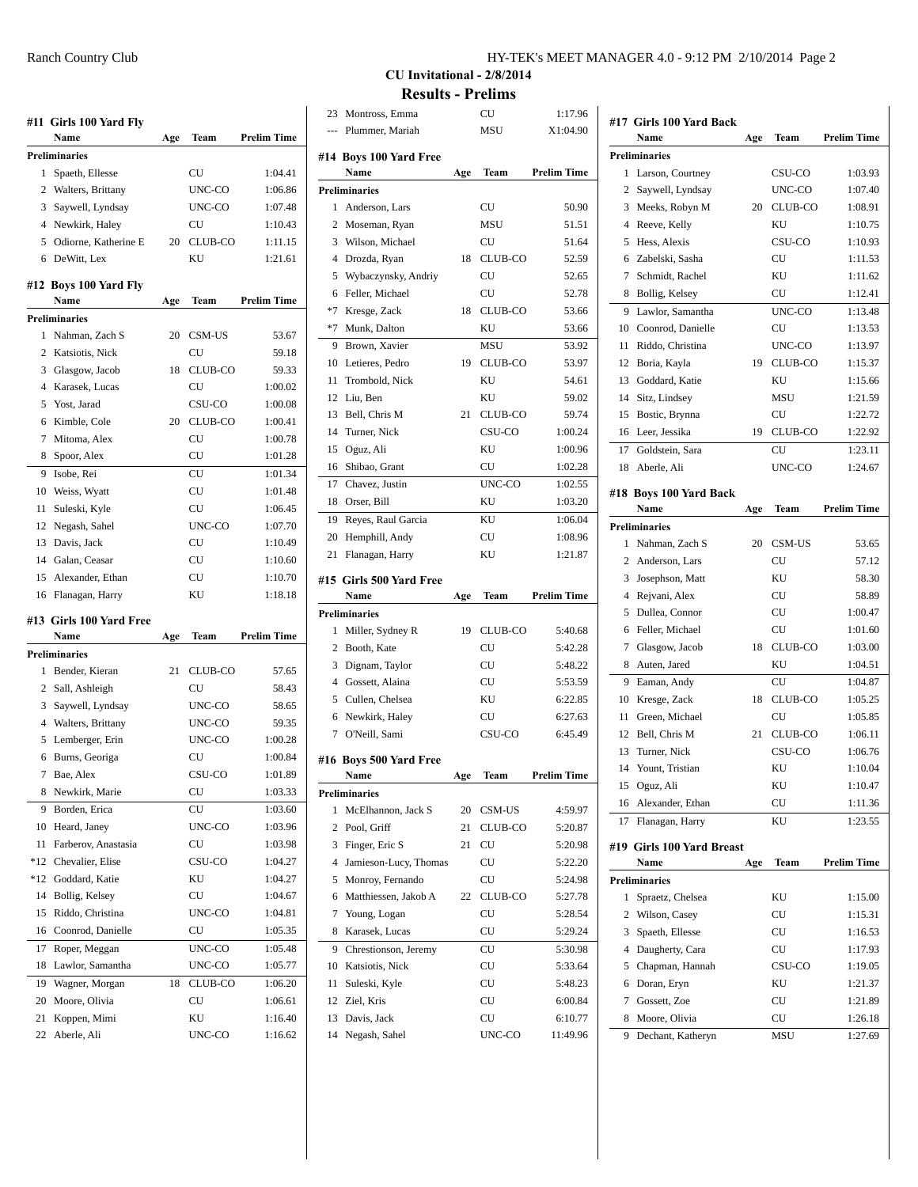|     | #11  Girls 100 Yard Fly       |     |         |                    |
|-----|-------------------------------|-----|---------|--------------------|
|     | Name                          | Age | Team    | <b>Prelim Time</b> |
|     | <b>Preliminaries</b>          |     |         |                    |
| 1   | Spaeth, Ellesse               |     | CU      | 1:04.41            |
| 2   | Walters, Brittany             |     | UNC-CO  | 1:06.86            |
| 3   | Saywell, Lyndsay              |     | UNC-CO  | 1:07.48            |
| 4   | Newkirk, Haley                |     | СU      | 1:10.43            |
| 5   | Odiorne, Katherine E          | 20  | CLUB-CO | 1:11.15            |
| 6   | DeWitt, Lex                   |     | KU      | 1:21.61            |
|     |                               |     |         |                    |
|     | #12 Boys 100 Yard Fly<br>Name | Age | Team    | <b>Prelim Time</b> |
|     | <b>Preliminaries</b>          |     |         |                    |
| 1   | Nahman, Zach S                | 20  | CSM-US  | 53.67              |
| 2   | Katsiotis, Nick               |     | СU      | 59.18              |
| 3   | Glasgow, Jacob                | 18  | CLUB-CO | 59.33              |
| 4   | Karasek, Lucas                |     | СU      | 1:00.02            |
| 5   | Yost, Jarad                   |     | CSU-CO  | 1:00.08            |
| 6   | Kimble, Cole                  | 20  | CLUB-CO | 1:00.41            |
| 7   | Mitoma, Alex                  |     | CU      | 1:00.78            |
|     |                               |     | CU      |                    |
| 8   | Spoor, Alex                   |     |         | 1:01.28            |
| 9   | Isobe, Rei                    |     | CU      | 1:01.34            |
| 10  | Weiss, Wyatt                  |     | CU      | 1:01.48            |
| 11  | Suleski, Kyle                 |     | CU      | 1:06.45            |
| 12  | Negash, Sahel                 |     | UNC-CO  | 1:07.70            |
| 13  | Davis, Jack                   |     | CU      | 1:10.49            |
|     | 14 Galan, Ceasar              |     | CU      | 1:10.60            |
| 15  | Alexander, Ethan              |     | CU      | 1:10.70            |
| 16  | Flanagan, Harry               |     | KU      | 1:18.18            |
|     | #13 Girls 100 Yard Free       |     |         |                    |
|     | Name                          | Age | Team    | <b>Prelim Time</b> |
|     | <b>Preliminaries</b>          |     |         |                    |
| 1   | Bender, Kieran                | 21  | CLUB-CO | 57.65              |
| 2   | Sall, Ashleigh                |     | CU      | 58.43              |
| 3   | Saywell, Lyndsay              |     | UNC-CO  | 58.65              |
| 4   | Walters, Brittany             |     | UNC-CO  | 59.35              |
| 5   | Lemberger, Erin               |     | UNC-CO  | 1:00.28            |
| 6   | Burns, Georiga                |     | CU      | 1:00.84            |
| 7   | Bae, Alex                     |     | CSU-CO  | 1:01.89            |
| 8   | Newkirk, Marie                |     | CU      | 1:03.33            |
| 9   | Borden, Erica                 |     | CU      | 1:03.60            |
| 10  | Heard, Janey                  |     | UNC-CO  | 1:03.96            |
| 11  | Farberov, Anastasia           |     | CU      | 1:03.98            |
| *12 | Chevalier, Elise              |     | CSU-CO  | 1:04.27            |
| *12 | Goddard, Katie                |     | KU      | 1:04.27            |
| 14  | Bollig, Kelsey                |     | CU      | 1:04.67            |
| 15  | Riddo, Christina              |     | UNC-CO  | 1:04.81            |
|     | Coonrod, Danielle             |     |         |                    |
| 16  |                               |     | CU      | 1:05.35            |
| 17  | Roper, Meggan                 |     | UNC-CO  | 1:05.48            |
| 18  | Lawlor, Samantha              |     | UNC-CO  | 1:05.77            |
| 19  | Wagner, Morgan                | 18  | CLUB-CO | 1:06.20            |
| 20  | Moore, Olivia                 |     | CU      | 1:06.61            |
| 21  | Koppen, Mimi                  |     | KU      | 1:16.40            |
| 22  | Aberle, Ali                   |     | UNC-CO  | 1:16.62            |

**CU Invitational - 2/8/2014 Results - Prelims** 23 Montross, Emma CU 1:17.96 |

|      | Plummer, Mariah                 |     | <b>MSU</b> | X1:04.90           |
|------|---------------------------------|-----|------------|--------------------|
|      |                                 |     |            |                    |
|      | #14 Boys 100 Yard Free<br>Name  |     | Team       | <b>Prelim Time</b> |
|      |                                 | Age |            |                    |
| 1    | <b>Preliminaries</b>            |     | CU         |                    |
|      | Anderson, Lars                  |     |            | 50.90              |
| 2    | Moseman, Ryan                   |     | <b>MSU</b> | 51.51              |
| 3    | Wilson, Michael                 |     | CU         | 51.64              |
| 4    | Drozda, Ryan                    | 18  | CLUB-CO    | 52.59              |
| 5    | Wybaczynsky, Andriy             |     | CU         | 52.65              |
| 6    | Feller, Michael                 |     | CU         | 52.78              |
| $*7$ | Kresge, Zack                    | 18  | CLUB-CO    | 53.66              |
| $*7$ | Munk, Dalton                    |     | KU         | 53.66              |
| 9    | Brown, Xavier                   |     | MSU        | 53.92              |
| 10   | Letieres, Pedro                 | 19  | CLUB-CO    | 53.97              |
| 11   | Trombold, Nick                  |     | KU         | 54.61              |
| 12   | Liu, Ben                        |     | KU         | 59.02              |
| 13   | Bell, Chris M                   | 21  | CLUB-CO    | 59.74              |
| 14   | Turner, Nick                    |     | CSU-CO     | 1:00.24            |
| 15   | Oguz, Ali                       |     | KU         | 1:00.96            |
| 16   | Shibao, Grant                   |     | CU         | 1:02.28            |
| 17   | Chavez, Justin                  |     | UNC-CO     | 1:02.55            |
| 18   | Orser, Bill                     |     | KU         | 1:03.20            |
| 19   | Reyes, Raul Garcia              |     | KU         | 1:06.04            |
| 20   | Hemphill, Andy                  |     | CU         | 1:08.96            |
| 21   | Flanagan, Harry                 |     | KU         | 1:21.87            |
|      |                                 |     |            |                    |
|      |                                 |     |            |                    |
|      | #15 Girls 500 Yard Free<br>Name | Age | Team       | <b>Prelim Time</b> |
|      | <b>Preliminaries</b>            |     |            |                    |
| 1    | Miller, Sydney R                | 19  | CLUB-CO    | 5:40.68            |
|      | 2 Booth, Kate                   |     | CU         | 5:42.28            |
| 3    | Dignam, Taylor                  |     | CU         | 5:48.22            |
| 4    | Gossett, Alaina                 |     | CU         | 5:53.59            |
|      | 5 Cullen, Chelsea               |     | KU         | 6:22.85            |
| 6    |                                 |     | CU         | 6:27.63            |
| 7    | Newkirk, Haley                  |     | CSU-CO     | 6:45.49            |
|      | O'Neill, Sami                   |     |            |                    |
|      | #16 Boys 500 Yard Free          |     |            |                    |
|      | Name                            | Age | Team       | <b>Prelim Time</b> |
|      | Preliminaries                   |     |            |                    |
| 1    | McElhannon, Jack S              | 20  | CSM-US     | 4:59.97            |
| 2    | Pool. Griff                     | 21  | CLUB-CO    | 5:20.87            |
| 3    | Finger, Eric S                  | 21  | CU         | 5:20.98            |
| 4    | Jamieson-Lucy, Thomas           |     | CU         | 5:22.20            |
| 5    | Monroy, Fernando                |     | CU         | 5:24.98            |
| 6    | Matthiessen, Jakob A            | 22  | CLUB-CO    | 5:27.78            |
| 7    | Young, Logan                    |     | CU         | 5:28.54            |
| 8    | Karasek, Lucas                  |     | CU         | 5:29.24            |
| 9    | Chrestionson, Jeremy            |     | CU         | 5:30.98            |
| 10   | Katsiotis, Nick                 |     | CU         | 5:33.64            |
| 11   | Suleski, Kyle                   |     | CU         | 5:48.23            |
| 12   | Ziel, Kris                      |     | CU         | 6:00.84            |
| 13   | Davis, Jack                     |     | CU         | 6:10.77            |

|                   | #17 Girls 100 Yard Back       |     |          |                    |
|-------------------|-------------------------------|-----|----------|--------------------|
|                   | Name                          | Age | Team     | <b>Prelim Time</b> |
|                   | <b>Preliminaries</b>          |     |          |                    |
| 1                 | Larson, Courtney              |     | CSU-CO   | 1:03.93            |
| 2                 | Saywell, Lyndsay              |     | UNC-CO   | 1:07.40            |
| 3                 | Meeks, Robyn M                | 20  | CLUB-CO  | 1:08.91            |
| 4                 | Reeve, Kelly                  |     | KU       | 1:10.75            |
| 5                 | Hess, Alexis                  |     | CSU-CO   | 1:10.93            |
| 6                 | Zabelski, Sasha               |     | CU       | 1:11.53            |
| 7                 | Schmidt, Rachel               |     | KU       | 1:11.62            |
| 8                 | Bollig, Kelsey                |     | CU       | 1:12.41            |
| 9                 | Lawlor, Samantha              |     | UNC-CO   | 1:13.48            |
| 10                | Coonrod, Danielle             |     | CU       | 1:13.53            |
| 11                | Riddo, Christina              |     | UNC-CO   | 1:13.97            |
| 12                | Boria, Kayla                  | 19  | CLUB-CO  | 1:15.37            |
| 13                | Goddard, Katie                |     | KU       | 1:15.66            |
| 14                | Sitz, Lindsey                 |     | MSU      | 1:21.59            |
| 15                | Bostic, Brynna                |     | CU       | 1:22.72            |
| 16                | Leer, Jessika                 | 19  | CLUB-CO  | 1:22.92            |
| 17                | Goldstein, Sara               |     | СU       | 1:23.11            |
| 18                | Aberle, Ali                   |     | UNC-CO   | 1:24.67            |
|                   | #18 Boys 100 Yard Back        |     |          |                    |
|                   | Name                          | Age | Team     | <b>Prelim Time</b> |
|                   | <b>Preliminaries</b>          |     |          |                    |
| 1                 | Nahman, Zach S                | 20  | CSM-US   | 53.65              |
|                   | 2 Anderson, Lars              |     | CU       | 57.12              |
| 3                 | Josephson, Matt               |     | KU       | 58.30              |
| 4                 | Rejvani, Alex                 |     | CU       | 58.89              |
| 5                 | Dullea, Connor                |     | CU       | 1:00.47            |
| 6                 | Feller, Michael               |     | CU       | 1:01.60            |
| 7                 | Glasgow, Jacob                | 18  | CLUB-CO  | 1:03.00            |
| 8                 | Auten, Jared                  |     | ΚU       | 1:04.51            |
| 9                 | Eaman, Andy                   |     | CU       | 1:04.87            |
| 10                | Kresge, Zack                  | 18  | CLUB-CO  | 1:05.25            |
| 11                | Green. Michael                |     | CU       | 1:05.85            |
| $12 \overline{ }$ | Bell, Chris M                 | 21  | CLUB-CO  | 1:06.11            |
| 13                |                               |     | CSU-CO   | 1:06.76            |
|                   | Turner, Nick                  |     |          |                    |
| 14<br>15          | Yount, Tristian               |     | ΚU<br>ΚU | 1:10.04            |
| 16                | Oguz, Ali<br>Alexander, Ethan |     | CU       | 1:10.47            |
|                   |                               |     |          | 1:11.36            |
| 17                | Flanagan, Harry               |     | ΚU       | 1:23.55            |
|                   | #19 Girls 100 Yard Breast     |     |          |                    |
|                   | Name                          | Age | Team     | <b>Prelim Time</b> |
|                   | <b>Preliminaries</b>          |     |          |                    |
| 1                 | Spraetz, Chelsea              |     | ΚU       | 1:15.00            |
| $\overline{2}$    | Wilson, Casey                 |     | CU       | 1:15.31            |
| 3                 | Spaeth, Ellesse               |     | CU       | 1:16.53            |
| 4                 | Daugherty, Cara               |     | CU       | 1:17.93            |
| 5                 | Chapman, Hannah               |     | CSU-CO   | 1:19.05            |
| 6                 | Doran, Eryn                   |     | KU       | 1:21.37            |
| 7                 | Gossett, Zoe                  |     | CU       | 1:21.89            |
| 8                 | Moore, Olivia                 |     | CU       | 1:26.18            |
| 9                 | Dechant, Katheryn             |     | MSU      | 1:27.69            |
|                   |                               |     |          |                    |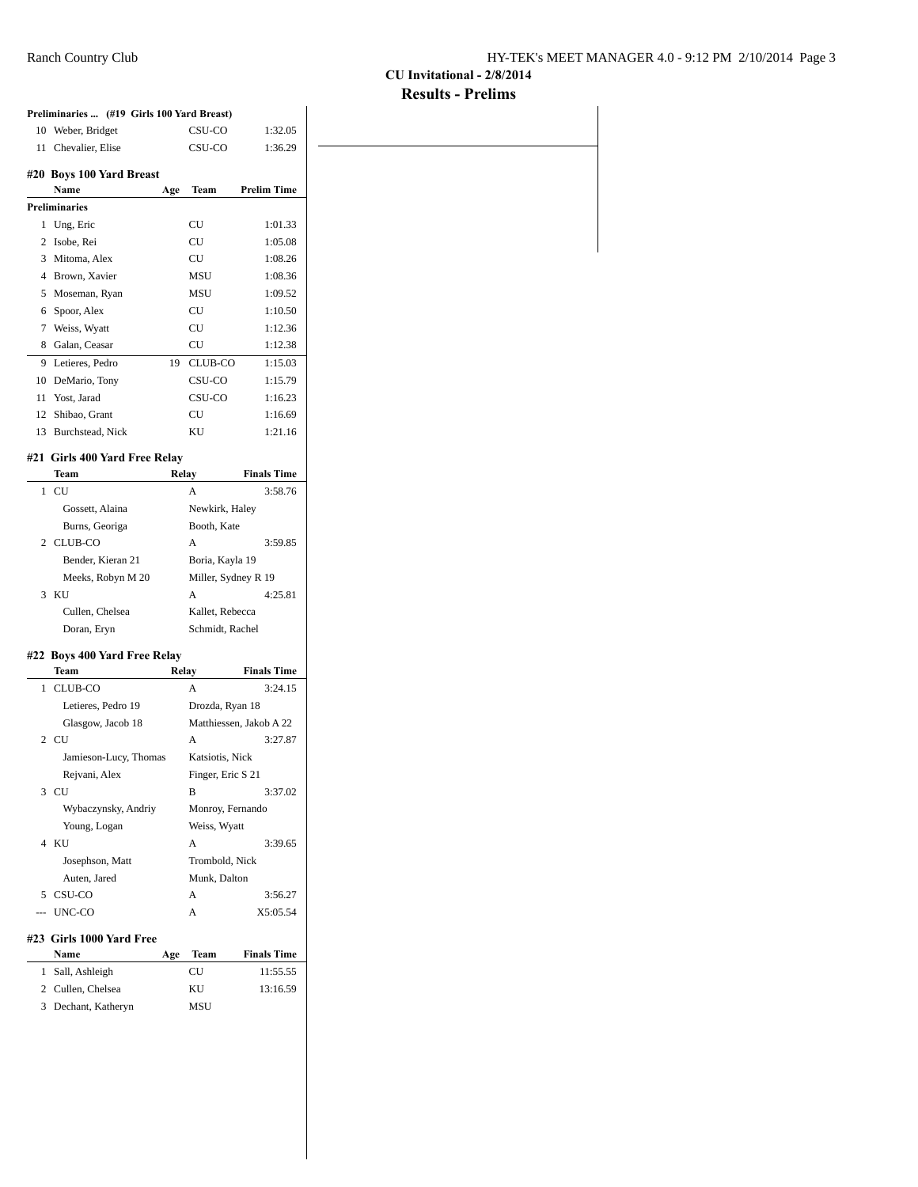## **CU Invitational - 2/8/2014 Results - Prelims**

|    | Preliminaries  (#19 Girls 100 Yard Breast) |     |                         |                               |
|----|--------------------------------------------|-----|-------------------------|-------------------------------|
|    | 10 Weber, Bridget                          |     | CSU-CO                  | 1:32.05                       |
|    | 11 Chevalier, Elise                        |     | CSU-CO                  | 1:36.29                       |
|    | #20 Boys 100 Yard Breast                   |     |                         |                               |
|    | <b>Name</b>                                |     |                         | Age Team Prelim Time          |
|    | <b>Preliminaries</b>                       |     |                         |                               |
|    | 1 Ung, Eric                                |     | CU                      | 1:01.33                       |
|    | 2 Isobe, Rei                               |     | CU                      | 1:05.08                       |
|    | 3 Mitoma, Alex                             |     | CU                      | 1:08.26                       |
|    | 4 Brown, Xavier                            |     | MSU                     | 1:08.36                       |
|    | 5 Moseman, Ryan                            |     | MSU                     | 1:09.52                       |
|    | 6 Spoor, Alex                              |     | CU                      | 1:10.50                       |
|    | 7 Weiss, Wyatt                             |     | CU                      | 1:12.36                       |
|    | 8 Galan, Ceasar                            |     | CU                      | 1:12.38                       |
|    | 9 Letieres, Pedro                          |     | 19 CLUB-CO              | 1:15.03                       |
|    | 10 DeMario, Tony                           |     | CSU-CO                  | 1:15.79                       |
|    | 11 Yost, Jarad                             |     | CSU-CO                  | 1:16.23                       |
|    | 12 Shibao, Grant                           |     | CU                      | 1:16.69                       |
|    | 13 Burchstead, Nick                        |     | KU.                     | 1:21.16                       |
|    |                                            |     |                         |                               |
|    | #21 Girls 400 Yard Free Relay              |     |                         |                               |
|    | <b>Team</b><br>$1$ CU                      |     | Relay<br>A              | <b>Finals Time</b><br>3:58.76 |
|    | Gossett, Alaina                            |     | Newkirk, Haley          |                               |
|    |                                            |     | Booth, Kate             |                               |
|    | Burns, Georiga                             |     |                         |                               |
|    | 2 CLUB-CO                                  |     | A                       | 3:59.85                       |
|    | Bender, Kieran 21                          |     | Boria, Kayla 19         |                               |
|    | Meeks, Robyn M 20                          |     | Miller, Sydney R 19     |                               |
|    | 3 KU                                       |     | A                       | 4:25.81                       |
|    | Cullen, Chelsea                            |     | Kallet, Rebecca         |                               |
|    | Doran, Eryn                                |     | Schmidt, Rachel         |                               |
|    | #22 Boys 400 Yard Free Relay               |     |                         |                               |
|    | Team<br>1 CLUB-CO                          |     | Relay<br>$\overline{A}$ | <b>Finals Time</b><br>3:24.15 |
|    | Letieres, Pedro 19                         |     | Drozda, Ryan 18         |                               |
|    | Glasgow, Jacob 18                          |     |                         | Matthiessen, Jakob A 22       |
|    | 2 CU                                       |     | Α                       | 3:27.87                       |
|    | Jamieson-Lucy, Thomas                      |     | Katsiotis, Nick         |                               |
|    |                                            |     |                         |                               |
|    | Rejvani, Alex<br>3 CU                      |     | Finger, Eric S 21<br>B  | 3:37.02                       |
|    | Wybaczynsky, Andriy                        |     |                         |                               |
|    |                                            |     | Monroy, Fernando        |                               |
|    | Young, Logan<br>4 KU                       |     | Weiss, Wyatt<br>A       | 3:39.65                       |
|    |                                            |     |                         |                               |
|    | Josephson, Matt                            |     | Trombold, Nick          |                               |
|    | Auten, Jared                               |     | Munk, Dalton            |                               |
|    | 5 CSU-CO                                   |     | A                       | 3:56.27                       |
|    | --- UNC-CO                                 |     | Α                       | X5:05.54                      |
|    | #23 Girls 1000 Yard Free                   |     |                         |                               |
|    | Name                                       | Age | Team                    | <b>Finals Time</b>            |
|    |                                            |     | CU                      | 11:55.55                      |
| 1. | Sall, Ashleigh<br>2 Cullen, Chelsea        |     | KU                      | 13:16.59                      |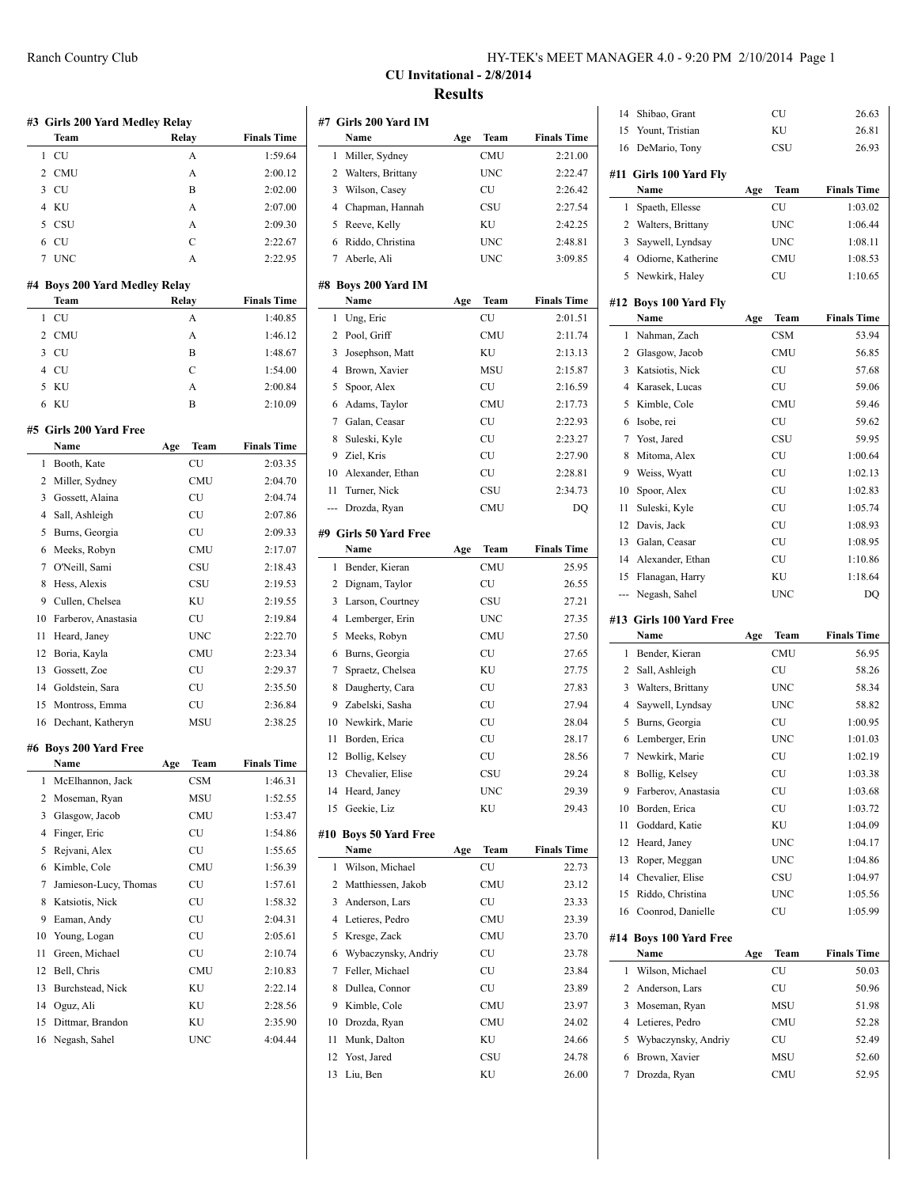| HY-TEK's MEET MANAGER 4.0 - 9:20 PM 2/10/2014 Page 1 |
|------------------------------------------------------|
|------------------------------------------------------|

## **CU Invitational - 2/8/2014 Results**

|                | #3 Girls 200 Yard Medley Relay<br>Team | Relay |               | <b>Finals Time</b>                       |
|----------------|----------------------------------------|-------|---------------|------------------------------------------|
| 1              | CU                                     |       | A             | 1:59.64                                  |
| 2              | CMU                                    |       | A             | 2:00.12                                  |
| 3              | CU                                     |       | B             | 2:02.00                                  |
| 4              | KU                                     |       | A             | 2:07.00                                  |
| 5              |                                        |       | A             |                                          |
|                | CSU                                    |       |               | 2:09.30                                  |
| 6              | <b>CU</b>                              |       | $\mathcal{C}$ | 2:22.67                                  |
| 7              | <b>UNC</b>                             |       | A             | 2:22.95                                  |
|                | #4 Boys 200 Yard Medley Relay<br>Team  | Relay |               | <b>Finals Time</b>                       |
| 1              | CU                                     |       | A             | 1:40.85                                  |
| $\overline{c}$ | CMU                                    |       | A             | 1:46.12                                  |
| 3              | CU                                     |       | B             | 1:48.67                                  |
| 4              | CU                                     |       | $\mathcal{C}$ | 1:54.00                                  |
| 5              | KU                                     |       | A             | 2:00.84                                  |
| 6              | KU                                     |       | B             | 2:10.09                                  |
|                |                                        |       |               |                                          |
|                | #5 Girls 200 Yard Free<br>Name         | Age   | Team          | <b>Finals Time</b>                       |
| 1              | Booth, Kate                            |       | <b>CU</b>     | 2:03.35                                  |
| 2              | Miller, Sydney                         |       | <b>CMU</b>    | 2:04.70                                  |
| 3              | Gossett, Alaina                        |       | CU            | 2:04.74                                  |
| 4              |                                        |       | <b>CU</b>     | 2:07.86                                  |
|                | Sall, Ashleigh                         |       |               |                                          |
| 5              | Burns, Georgia                         |       | CU            | 2:09.33                                  |
| 6              | Meeks, Robyn                           |       | <b>CMU</b>    | 2:17.07                                  |
| 7              | O'Neill, Sami                          |       | CSU           | 2:18.43                                  |
| 8              | Hess, Alexis                           |       | CSU           | 2:19.53                                  |
| 9              | Cullen, Chelsea                        |       | ΚU            | 2:19.55                                  |
| 10             | Farberov, Anastasia                    |       | CU            | 2:19.84                                  |
| 11             | Heard, Janey                           |       | <b>UNC</b>    | 2:22.70                                  |
| 12             | Boria, Kayla                           |       | CMU           | 2:23.34                                  |
| 13             | Gossett, Zoe                           |       | CU            | 2:29.37                                  |
| 14             | Goldstein, Sara                        |       | CU            | 2:35.50                                  |
| 15             | Montross, Emma                         |       | CU            | 2:36.84                                  |
| 16             | Dechant, Katheryn                      |       | <b>MSU</b>    | 2:38.25                                  |
|                | #6 Boys 200 Yard Free                  |       |               |                                          |
|                | Name                                   | Age   | Team          | <b>Finals Time</b>                       |
| 1              | McElhannon, Jack                       |       | CSM           | 1:46.31                                  |
| 2              | Moseman, Ryan                          |       | MSU           | 1:52.55                                  |
| 3              | Glasgow, Jacob                         |       | CMU           | 1:53.47                                  |
| 4              | Finger, Eric                           |       | CU            | 1:54.86                                  |
| 5              | Rejvani, Alex                          |       | CU            | 1:55.65                                  |
| 6              | Kimble, Cole                           |       | <b>CMU</b>    | 1:56.39                                  |
| 7              | Jamieson-Lucy, Thomas                  |       | CU            | 1:57.61                                  |
| 8              | Katsiotis, Nick                        |       | CU            | 1:58.32                                  |
| 9              | Eaman, Andy                            |       | CU            | 2:04.31                                  |
| 10             | Young, Logan                           |       | CU            | 2:05.61                                  |
| 11             | Green, Michael                         |       | CU            | 2:10.74                                  |
|                | Bell, Chris                            |       | CMU           | 2:10.83                                  |
|                |                                        |       |               |                                          |
| 12             |                                        |       |               |                                          |
| 13             | Burchstead, Nick                       |       | ΚU            |                                          |
| 14             | Oguz, Ali                              |       | ΚU            |                                          |
| 15<br>16       | Dittmar, Brandon<br>Negash, Sahel      |       | ΚU<br>UNC     | 2:22.14<br>2:28.56<br>2:35.90<br>4:04.44 |

|                | #7  Girls 200 Yard IM  |     |            |                    |
|----------------|------------------------|-----|------------|--------------------|
|                | Name                   | Age | Team       | <b>Finals Time</b> |
| 1              | Miller, Sydney         |     | <b>CMU</b> | 2:21.00            |
| 2              | Walters, Brittany      |     | <b>UNC</b> | 2:22.47            |
| 3              | Wilson, Casey          |     | CU         | 2:26.42            |
| $\overline{4}$ | Chapman, Hannah        |     | CSU        | 2:27.54            |
| 5              | Reeve, Kelly           |     | KU         | 2:42.25            |
| 6              | Riddo, Christina       |     | UNC        | 2:48.81            |
| 7              | Aberle, Ali            |     | <b>UNC</b> | 3:09.85            |
|                |                        |     |            |                    |
| #8             | Boys 200 Yard IM       |     |            |                    |
|                | Name                   | Age | Team       | <b>Finals Time</b> |
| 1              | Ung, Eric              |     | CU         | 2:01.51            |
| 2              | Pool, Griff            |     | <b>CMU</b> | 2:11.74            |
| 3              | Josephson, Matt        |     | KU         | 2:13.13            |
| $\overline{4}$ | Brown, Xavier          |     | MSU        | 2:15.87            |
| 5              | Spoor, Alex            |     | CU         | 2:16.59            |
| 6              | Adams, Taylor          |     | CMU        | 2:17.73            |
| 7              | Galan, Ceasar          |     | CU         | 2:22.93            |
| 8              | Suleski, Kyle          |     | <b>CU</b>  | 2:23.27            |
| 9              | Ziel, Kris             |     | CU         | 2:27.90            |
| 10             | Alexander, Ethan       |     | CU         | 2:28.81            |
| 11             | Turner, Nick           |     | CSU        | 2:34.73            |
| ---            | Drozda, Ryan           |     | <b>CMU</b> | DQ                 |
|                |                        |     |            |                    |
|                | #9  Girls 50 Yard Free |     |            |                    |
|                | Name                   | Age | Team       | <b>Finals Time</b> |
| 1              | Bender, Kieran         |     | <b>CMU</b> | 25.95              |
| 2              | Dignam, Taylor         |     | CU         | 26.55              |
| 3              | Larson, Courtney       |     | CSU        | 27.21              |
| 4              | Lemberger, Erin        |     | <b>UNC</b> | 27.35              |
| 5              | Meeks, Robyn           |     | <b>CMU</b> | 27.50              |
| 6              | Burns, Georgia         |     | CU         | 27.65              |
| 7              | Spraetz, Chelsea       |     | KU         | 27.75              |
| 8              | Daugherty, Cara        |     | CU         | 27.83              |
| 9              | Zabelski, Sasha        |     | CU         | 27.94              |
| 10             | Newkirk, Marie         |     | CU         | 28.04              |
| 11             | Borden, Erica          |     | CU         | 28.17              |
| 12             |                        |     | CU         | 28.56              |
|                | Bollig, Kelsey         |     |            |                    |
| 13             | Chevalier, Elise       |     | CSU        | 29.24              |
| 14             | Heard, Janey           |     | UNC        | 29.39              |
| 15             | Geekie, Liz            |     | ΚU         | 29.43              |
|                | #10 Boys 50 Yard Free  |     |            |                    |
|                | Name                   | Age | Team       | <b>Finals Time</b> |
| 1              | Wilson, Michael        |     | CU         | 22.73              |
| 2              | Matthiessen, Jakob     |     | CMU        | 23.12              |
| 3              | Anderson, Lars         |     | CU         | 23.33              |
| 4              | Letieres, Pedro        |     | CMU        | 23.39              |
| 5              | Kresge, Zack           |     | <b>CMU</b> | 23.70              |
| 6              | Wybaczynsky, Andriy    |     | CU         | 23.78              |
| 7              | Feller, Michael        |     | CU         | 23.84              |
|                |                        |     |            |                    |
| 8              | Dullea, Connor         |     | CU         | 23.89              |
| 9              | Kimble, Cole           |     | CMU        | 23.97              |
| 10             | Drozda, Ryan           |     | CMU        | 24.02              |
| 11             | Munk, Dalton           |     | KU         | 24.66              |
| 12             | Yost, Jared            |     | CSU        | 24.78              |
| 13             | Liu, Ben               |     | KU         | 26.00              |
|                |                        |     |            |                    |

| 14  | Shibao, Grant                        |     | CU         | 26.63              |
|-----|--------------------------------------|-----|------------|--------------------|
| 15  | Yount, Tristian                      |     | KU         | 26.81              |
| 16  | DeMario, Tony                        |     | CSU        | 26.93              |
|     | #11 Girls 100 Yard Fly<br>Name       | Age | Team       | <b>Finals Time</b> |
| 1   | Spaeth, Ellesse                      |     | CU         | 1:03.02            |
|     | 2 Walters, Brittany                  |     | UNC        | 1:06.44            |
| 3   | Saywell, Lyndsay                     |     | UNC        | 1:08.11            |
|     | 4 Odiorne, Katherine                 |     | CMU        | 1:08.53            |
|     | 5 Newkirk, Haley                     |     | CU         | 1:10.65            |
|     |                                      |     |            |                    |
|     | #12 Boys 100 Yard Fly<br><b>Name</b> | Age | Team       | <b>Finals Time</b> |
| 1   | Nahman, Zach                         |     | <b>CSM</b> | 53.94              |
|     |                                      |     |            |                    |
|     | 2 Glasgow, Jacob                     |     | <b>CMU</b> | 56.85              |
|     | 3 Katsiotis, Nick                    |     | CU         | 57.68              |
|     | 4 Karasek, Lucas                     |     | CU         | 59.06              |
| 5   | Kimble, Cole                         |     | <b>CMU</b> | 59.46              |
| 6   | Isobe, rei                           |     | CU         | 59.62              |
| 7   | Yost, Jared                          |     | CSU        | 59.95              |
| 8   | Mitoma, Alex                         |     | CU         | 1:00.64            |
| 9   | Weiss, Wyatt                         |     | CU         | 1:02.13            |
| 10  | Spoor, Alex                          |     | <b>CU</b>  | 1:02.83            |
| 11  | Suleski, Kyle                        |     | CU         | 1:05.74            |
| 12  | Davis, Jack                          |     | CU         | 1:08.93            |
| 13  | Galan, Ceasar                        |     | CU         | 1:08.95            |
| 14  | Alexander, Ethan                     |     | CU         | 1:10.86            |
| 15  | Flanagan, Harry                      |     | ΚU         | 1:18.64            |
| --- | Negash, Sahel                        |     | <b>UNC</b> | DQ                 |
|     | #13 Girls 100 Yard Free              |     |            |                    |
|     | Name                                 | Age | Team       | <b>Finals Time</b> |
| 1   | Bender, Kieran                       |     | CMU        | 56.95              |
| 2   | Sall, Ashleigh                       |     | CU         | 58.26              |
|     | 3 Walters, Brittany                  |     | <b>UNC</b> | 58.34              |
| 4   | Saywell, Lyndsay                     |     | <b>UNC</b> | 58.82              |
| 5   | Burns, Georgia                       |     | CU         | 1:00.95            |
| 6   | Lemberger, Erin                      |     | <b>UNC</b> | 1:01.03            |
| 7   | Newkirk, Marie                       |     | CU         | 1:02.19            |
| 8   | Bollig, Kelsey                       |     | CU         | 1:03.38            |
| 9   | Farberov, Anastasia                  |     | CU         | 1:03.68            |
| 10  | Borden, Erica                        |     | CU         | 1:03.72            |
| 11  | Goddard, Katie                       |     | ΚU         | 1:04.09            |
| 12  | Heard, Janey                         |     | UNC        | 1:04.17            |
| 13  | Roper, Meggan                        |     | UNC        | 1:04.86            |
| 14  | Chevalier, Elise                     |     | CSU        | 1:04.97            |
|     |                                      |     |            | 1:05.56            |
| 15  | Riddo, Christina                     |     | UNC        |                    |
| 16  | Coonrod, Danielle                    |     | CU         | 1:05.99            |
|     | #14 Boys 100 Yard Free               |     |            |                    |
|     | Name                                 | Age | Team       | <b>Finals Time</b> |
| 1   | Wilson, Michael                      |     | CU         | 50.03              |
|     | 2 Anderson, Lars                     |     | CU         | 50.96              |
| 3   | Moseman, Ryan                        |     | MSU        | 51.98              |
|     | 4 Letieres, Pedro                    |     | CMU        | 52.28              |
| 5   | Wybaczynsky, Andriy                  |     | CU         | 52.49              |
| 6   | Brown, Xavier                        |     | MSU        | 52.60              |